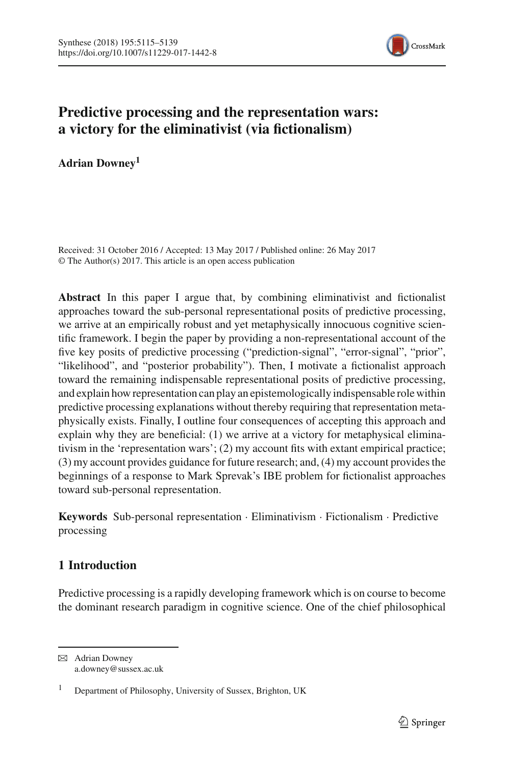

# **Predictive processing and the representation wars: a victory for the eliminativist (via fictionalism)**

**Adrian Downey<sup>1</sup>**

Received: 31 October 2016 / Accepted: 13 May 2017 / Published online: 26 May 2017 © The Author(s) 2017. This article is an open access publication

**Abstract** In this paper I argue that, by combining eliminativist and fictionalist approaches toward the sub-personal representational posits of predictive processing, we arrive at an empirically robust and yet metaphysically innocuous cognitive scientific framework. I begin the paper by providing a non-representational account of the five key posits of predictive processing ("prediction-signal", "error-signal", "prior", "likelihood", and "posterior probability"). Then, I motivate a fictionalist approach toward the remaining indispensable representational posits of predictive processing, and explain how representation can play an epistemologically indispensable role within predictive processing explanations without thereby requiring that representation metaphysically exists. Finally, I outline four consequences of accepting this approach and explain why they are beneficial: (1) we arrive at a victory for metaphysical eliminativism in the 'representation wars'; (2) my account fits with extant empirical practice; (3) my account provides guidance for future research; and, (4) my account provides the beginnings of a response to Mark Sprevak's IBE problem for fictionalist approaches toward sub-personal representation.

**Keywords** Sub-personal representation · Eliminativism · Fictionalism · Predictive processing

## **1 Introduction**

Predictive processing is a rapidly developing framework which is on course to become the dominant research paradigm in cognitive science. One of the chief philosophical

B Adrian Downey a.downey@sussex.ac.uk

<sup>&</sup>lt;sup>1</sup> Department of Philosophy, University of Sussex, Brighton, UK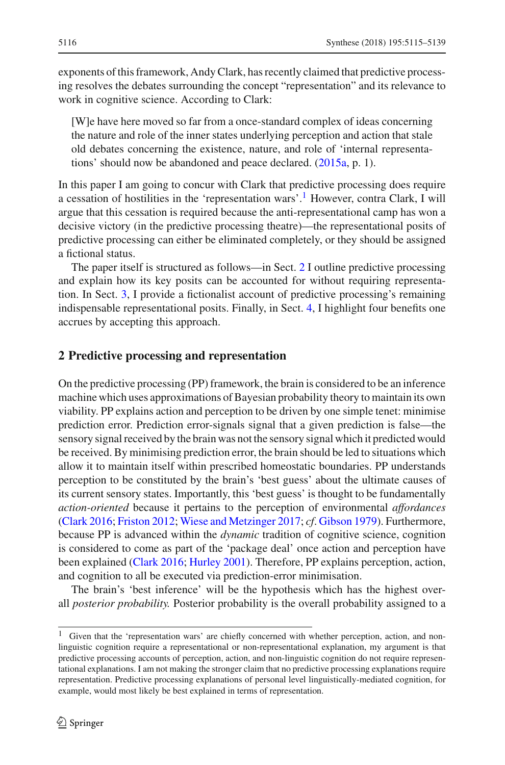exponents of this framework, Andy Clark, has recently claimed that predictive processing resolves the debates surrounding the concept "representation" and its relevance to work in cognitive science. According to Clark:

[W]e have here moved so far from a once-standard complex of ideas concerning the nature and role of the inner states underlying perception and action that stale old debates concerning the existence, nature, and role of 'internal representations' should now be abandoned and peace declared. [\(2015a,](#page-23-0) p. 1).

In this paper I am going to concur with Clark that predictive processing does require a cessation of hostilities in the 'representation wars'.<sup>1</sup> However, contra Clark, I will argue that this cessation is required because the anti-representational camp has won a decisive victory (in the predictive processing theatre)—the representational posits of predictive processing can either be eliminated completely, or they should be assigned a fictional status.

The paper itself is structured as follows—in Sect. [2](#page-1-1) I outline predictive processing and explain how its key posits can be accounted for without requiring representation. In Sect. [3,](#page-9-0) I provide a fictionalist account of predictive processing's remaining indispensable representational posits. Finally, in Sect. [4,](#page-17-0) I highlight four benefits one accrues by accepting this approach.

## <span id="page-1-1"></span>**2 Predictive processing and representation**

On the predictive processing (PP) framework, the brain is considered to be an inference machine which uses approximations of Bayesian probability theory to maintain its own viability. PP explains action and perception to be driven by one simple tenet: minimise prediction error. Prediction error-signals signal that a given prediction is false—the sensory signal received by the brain was not the sensory signal which it predicted would be received. By minimising prediction error, the brain should be led to situations which allow it to maintain itself within prescribed homeostatic boundaries. PP understands perception to be constituted by the brain's 'best guess' about the ultimate causes of its current sensory states. Importantly, this 'best guess' is thought to be fundamentally *action-oriented* because it pertains to the perception of environmental *affordances* [\(Clark 2016;](#page-23-1) [Friston 2012](#page-23-2); [Wiese and Metzinger 2017;](#page-24-0) *cf*. [Gibson 1979](#page-23-3)). Furthermore, because PP is advanced within the *dynamic* tradition of cognitive science, cognition is considered to come as part of the 'package deal' once action and perception have been explained [\(Clark 2016;](#page-23-1) [Hurley 2001](#page-23-4)). Therefore, PP explains perception, action, and cognition to all be executed via prediction-error minimisation.

The brain's 'best inference' will be the hypothesis which has the highest overall *posterior probability.* Posterior probability is the overall probability assigned to a

<span id="page-1-0"></span>Given that the 'representation wars' are chiefly concerned with whether perception, action, and nonlinguistic cognition require a representational or non-representational explanation, my argument is that predictive processing accounts of perception, action, and non-linguistic cognition do not require representational explanations. I am not making the stronger claim that no predictive processing explanations require representation. Predictive processing explanations of personal level linguistically-mediated cognition, for example, would most likely be best explained in terms of representation.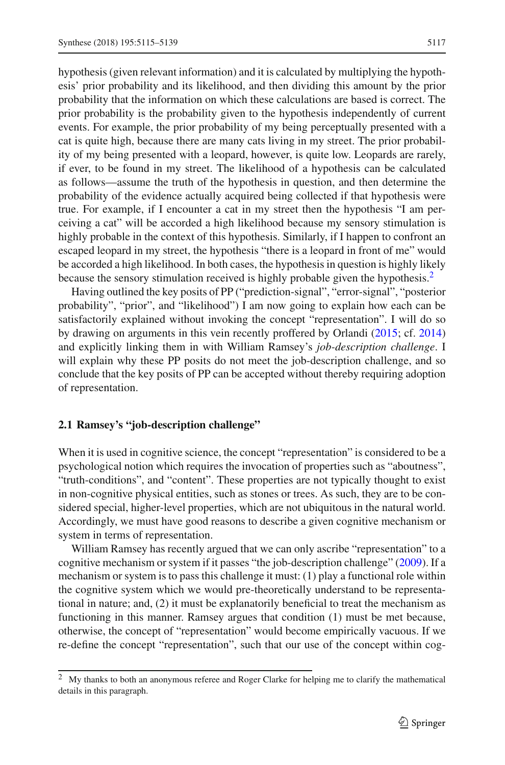hypothesis (given relevant information) and it is calculated by multiplying the hypothesis' prior probability and its likelihood, and then dividing this amount by the prior probability that the information on which these calculations are based is correct. The prior probability is the probability given to the hypothesis independently of current events. For example, the prior probability of my being perceptually presented with a cat is quite high, because there are many cats living in my street. The prior probability of my being presented with a leopard, however, is quite low. Leopards are rarely, if ever, to be found in my street. The likelihood of a hypothesis can be calculated as follows—assume the truth of the hypothesis in question, and then determine the probability of the evidence actually acquired being collected if that hypothesis were true. For example, if I encounter a cat in my street then the hypothesis "I am perceiving a cat" will be accorded a high likelihood because my sensory stimulation is highly probable in the context of this hypothesis. Similarly, if I happen to confront an escaped leopard in my street, the hypothesis "there is a leopard in front of me" would be accorded a high likelihood. In both cases, the hypothesis in question is highly likely because the sensory stimulation received is highly probable given the hypothesis.[2](#page-2-0)

Having outlined the key posits of PP ("prediction-signal", "error-signal", "posterior probability", "prior", and "likelihood") I am now going to explain how each can be satisfactorily explained without invoking the concept "representation". I will do so by drawing on arguments in this vein recently proffered by Orlandi [\(2015](#page-23-5); cf. [2014\)](#page-23-6) and explicitly linking them in with William Ramsey's *job-description challenge*. I will explain why these PP posits do not meet the job-description challenge, and so conclude that the key posits of PP can be accepted without thereby requiring adoption of representation.

## <span id="page-2-1"></span>**2.1 Ramsey's "job-description challenge"**

When it is used in cognitive science, the concept "representation" is considered to be a psychological notion which requires the invocation of properties such as "aboutness", "truth-conditions", and "content". These properties are not typically thought to exist in non-cognitive physical entities, such as stones or trees. As such, they are to be considered special, higher-level properties, which are not ubiquitous in the natural world. Accordingly, we must have good reasons to describe a given cognitive mechanism or system in terms of representation.

William Ramsey has recently argued that we can only ascribe "representation" to a cognitive mechanism or system if it passes "the job-description challenge" [\(2009](#page-23-7)). If a mechanism or system is to pass this challenge it must: (1) play a functional role within the cognitive system which we would pre-theoretically understand to be representational in nature; and, (2) it must be explanatorily beneficial to treat the mechanism as functioning in this manner. Ramsey argues that condition (1) must be met because, otherwise, the concept of "representation" would become empirically vacuous. If we re-define the concept "representation", such that our use of the concept within cog-

<span id="page-2-0"></span><sup>&</sup>lt;sup>2</sup> My thanks to both an anonymous referee and Roger Clarke for helping me to clarify the mathematical details in this paragraph.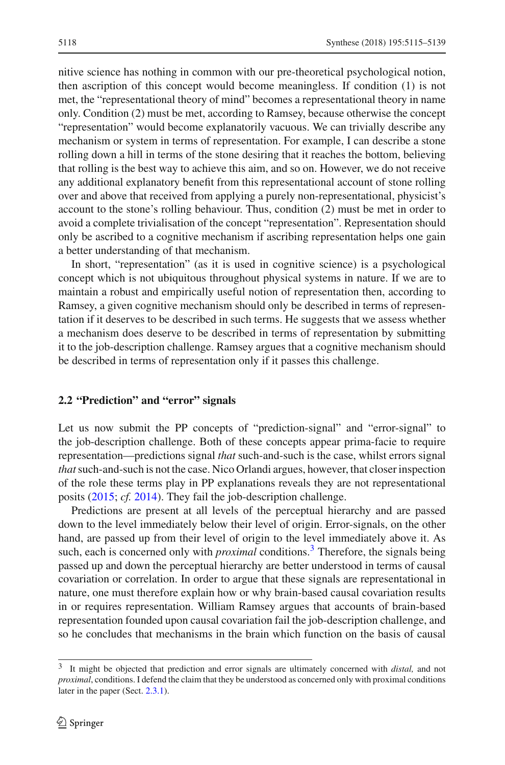nitive science has nothing in common with our pre-theoretical psychological notion, then ascription of this concept would become meaningless. If condition (1) is not met, the "representational theory of mind" becomes a representational theory in name only. Condition (2) must be met, according to Ramsey, because otherwise the concept "representation" would become explanatorily vacuous. We can trivially describe any mechanism or system in terms of representation. For example, I can describe a stone rolling down a hill in terms of the stone desiring that it reaches the bottom, believing that rolling is the best way to achieve this aim, and so on. However, we do not receive any additional explanatory benefit from this representational account of stone rolling over and above that received from applying a purely non-representational, physicist's account to the stone's rolling behaviour. Thus, condition (2) must be met in order to avoid a complete trivialisation of the concept "representation". Representation should only be ascribed to a cognitive mechanism if ascribing representation helps one gain a better understanding of that mechanism.

In short, "representation" (as it is used in cognitive science) is a psychological concept which is not ubiquitous throughout physical systems in nature. If we are to maintain a robust and empirically useful notion of representation then, according to Ramsey, a given cognitive mechanism should only be described in terms of representation if it deserves to be described in such terms. He suggests that we assess whether a mechanism does deserve to be described in terms of representation by submitting it to the job-description challenge. Ramsey argues that a cognitive mechanism should be described in terms of representation only if it passes this challenge.

## **2.2 "Prediction" and "error" signals**

Let us now submit the PP concepts of "prediction-signal" and "error-signal" to the job-description challenge. Both of these concepts appear prima-facie to require representation—predictions signal *that* such-and-such is the case, whilst errors signal *that*such-and-such is not the case. Nico Orlandi argues, however, that closer inspection of the role these terms play in PP explanations reveals they are not representational posits [\(2015;](#page-23-5) *cf.* [2014\)](#page-23-6). They fail the job-description challenge.

Predictions are present at all levels of the perceptual hierarchy and are passed down to the level immediately below their level of origin. Error-signals, on the other hand, are passed up from their level of origin to the level immediately above it. As such, each is concerned only with *proximal* conditions.<sup>3</sup> Therefore, the signals being passed up and down the perceptual hierarchy are better understood in terms of causal covariation or correlation. In order to argue that these signals are representational in nature, one must therefore explain how or why brain-based causal covariation results in or requires representation. William Ramsey argues that accounts of brain-based representation founded upon causal covariation fail the job-description challenge, and so he concludes that mechanisms in the brain which function on the basis of causal

<span id="page-3-0"></span><sup>3</sup> It might be objected that prediction and error signals are ultimately concerned with *distal,* and not *proximal*, conditions. I defend the claim that they be understood as concerned only with proximal conditions later in the paper (Sect. [2.3.1\)](#page-7-0).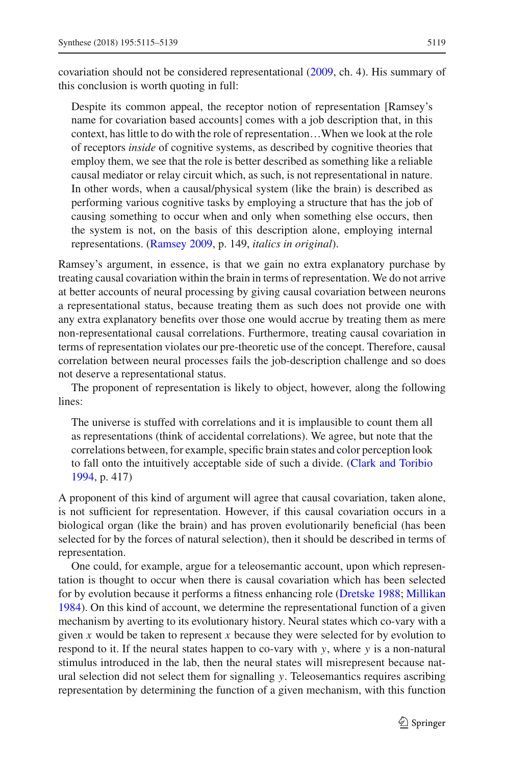covariation should not be considered representational [\(2009](#page-23-7), ch. 4). His summary of this conclusion is worth quoting in full:

Despite its common appeal, the receptor notion of representation [Ramsey's name for covariation based accounts] comes with a job description that, in this context, has little to do with the role of representation…When we look at the role of receptors *inside* of cognitive systems, as described by cognitive theories that employ them, we see that the role is better described as something like a reliable causal mediator or relay circuit which, as such, is not representational in nature. In other words, when a causal/physical system (like the brain) is described as performing various cognitive tasks by employing a structure that has the job of causing something to occur when and only when something else occurs, then the system is not, on the basis of this description alone, employing internal representations. [\(Ramsey 2009](#page-23-7), p. 149, *italics in original*).

Ramsey's argument, in essence, is that we gain no extra explanatory purchase by treating causal covariation within the brain in terms of representation. We do not arrive at better accounts of neural processing by giving causal covariation between neurons a representational status, because treating them as such does not provide one with any extra explanatory benefits over those one would accrue by treating them as mere non-representational causal correlations. Furthermore, treating causal covariation in terms of representation violates our pre-theoretic use of the concept. Therefore, causal correlation between neural processes fails the job-description challenge and so does not deserve a representational status.

The proponent of representation is likely to object, however, along the following lines:

The universe is stuffed with correlations and it is implausible to count them all as representations (think of accidental correlations). We agree, but note that the correlations between, for example, specific brain states and color perception look to fall onto the intuitively acceptable side of such a divide. [\(Clark and Toribio](#page-23-8) [1994,](#page-23-8) p. 417)

A proponent of this kind of argument will agree that causal covariation, taken alone, is not sufficient for representation. However, if this causal covariation occurs in a biological organ (like the brain) and has proven evolutionarily beneficial (has been selected for by the forces of natural selection), then it should be described in terms of representation.

One could, for example, argue for a teleosemantic account, upon which representation is thought to occur when there is causal covariation which has been selected for by evolution because it performs a fitness enhancing role [\(Dretske 1988;](#page-23-9) [Millikan](#page-23-10) [1984\)](#page-23-10). On this kind of account, we determine the representational function of a given mechanism by averting to its evolutionary history. Neural states which co-vary with a given *x* would be taken to represent *x* because they were selected for by evolution to respond to it. If the neural states happen to co-vary with *y*, where *y* is a non-natural stimulus introduced in the lab, then the neural states will misrepresent because natural selection did not select them for signalling *y*. Teleosemantics requires ascribing representation by determining the function of a given mechanism, with this function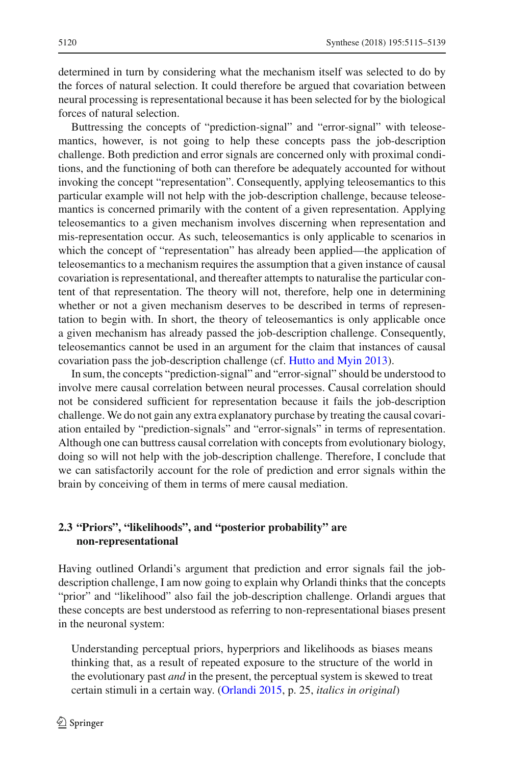determined in turn by considering what the mechanism itself was selected to do by the forces of natural selection. It could therefore be argued that covariation between neural processing is representational because it has been selected for by the biological forces of natural selection.

Buttressing the concepts of "prediction-signal" and "error-signal" with teleosemantics, however, is not going to help these concepts pass the job-description challenge. Both prediction and error signals are concerned only with proximal conditions, and the functioning of both can therefore be adequately accounted for without invoking the concept "representation". Consequently, applying teleosemantics to this particular example will not help with the job-description challenge, because teleosemantics is concerned primarily with the content of a given representation. Applying teleosemantics to a given mechanism involves discerning when representation and mis-representation occur. As such, teleosemantics is only applicable to scenarios in which the concept of "representation" has already been applied—the application of teleosemantics to a mechanism requires the assumption that a given instance of causal covariation is representational, and thereafter attempts to naturalise the particular content of that representation. The theory will not, therefore, help one in determining whether or not a given mechanism deserves to be described in terms of representation to begin with. In short, the theory of teleosemantics is only applicable once a given mechanism has already passed the job-description challenge. Consequently, teleosemantics cannot be used in an argument for the claim that instances of causal covariation pass the job-description challenge (cf. [Hutto and Myin 2013\)](#page-23-11).

In sum, the concepts "prediction-signal" and "error-signal" should be understood to involve mere causal correlation between neural processes. Causal correlation should not be considered sufficient for representation because it fails the job-description challenge. We do not gain any extra explanatory purchase by treating the causal covariation entailed by "prediction-signals" and "error-signals" in terms of representation. Although one can buttress causal correlation with concepts from evolutionary biology, doing so will not help with the job-description challenge. Therefore, I conclude that we can satisfactorily account for the role of prediction and error signals within the brain by conceiving of them in terms of mere causal mediation.

## **2.3 "Priors", "likelihoods", and "posterior probability" are non-representational**

Having outlined Orlandi's argument that prediction and error signals fail the jobdescription challenge, I am now going to explain why Orlandi thinks that the concepts "prior" and "likelihood" also fail the job-description challenge. Orlandi argues that these concepts are best understood as referring to non-representational biases present in the neuronal system:

Understanding perceptual priors, hyperpriors and likelihoods as biases means thinking that, as a result of repeated exposure to the structure of the world in the evolutionary past *and* in the present, the perceptual system is skewed to treat certain stimuli in a certain way. [\(Orlandi 2015,](#page-23-5) p. 25, *italics in original*)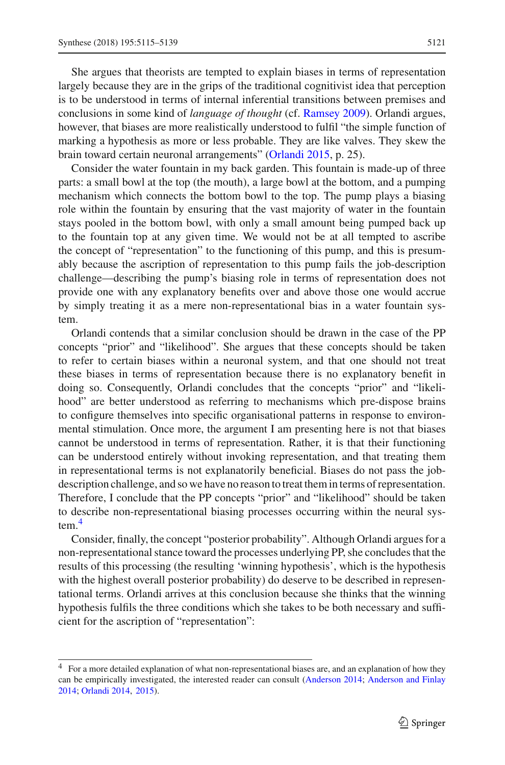She argues that theorists are tempted to explain biases in terms of representation largely because they are in the grips of the traditional cognitivist idea that perception is to be understood in terms of internal inferential transitions between premises and conclusions in some kind of *language of thought* (cf. [Ramsey 2009](#page-23-7)). Orlandi argues, however, that biases are more realistically understood to fulfil "the simple function of marking a hypothesis as more or less probable. They are like valves. They skew the brain toward certain neuronal arrangements" [\(Orlandi 2015](#page-23-5), p. 25).

Consider the water fountain in my back garden. This fountain is made-up of three parts: a small bowl at the top (the mouth), a large bowl at the bottom, and a pumping mechanism which connects the bottom bowl to the top. The pump plays a biasing role within the fountain by ensuring that the vast majority of water in the fountain stays pooled in the bottom bowl, with only a small amount being pumped back up to the fountain top at any given time. We would not be at all tempted to ascribe the concept of "representation" to the functioning of this pump, and this is presumably because the ascription of representation to this pump fails the job-description challenge—describing the pump's biasing role in terms of representation does not provide one with any explanatory benefits over and above those one would accrue by simply treating it as a mere non-representational bias in a water fountain system.

Orlandi contends that a similar conclusion should be drawn in the case of the PP concepts "prior" and "likelihood". She argues that these concepts should be taken to refer to certain biases within a neuronal system, and that one should not treat these biases in terms of representation because there is no explanatory benefit in doing so. Consequently, Orlandi concludes that the concepts "prior" and "likelihood" are better understood as referring to mechanisms which pre-dispose brains to configure themselves into specific organisational patterns in response to environmental stimulation. Once more, the argument I am presenting here is not that biases cannot be understood in terms of representation. Rather, it is that their functioning can be understood entirely without invoking representation, and that treating them in representational terms is not explanatorily beneficial. Biases do not pass the jobdescription challenge, and so we have no reason to treat them in terms of representation. Therefore, I conclude that the PP concepts "prior" and "likelihood" should be taken to describe non-representational biasing processes occurring within the neural system.[4](#page-6-0)

Consider, finally, the concept "posterior probability". Although Orlandi argues for a non-representational stance toward the processes underlying PP, she concludes that the results of this processing (the resulting 'winning hypothesis', which is the hypothesis with the highest overall posterior probability) do deserve to be described in representational terms. Orlandi arrives at this conclusion because she thinks that the winning hypothesis fulfils the three conditions which she takes to be both necessary and sufficient for the ascription of "representation":

<span id="page-6-0"></span><sup>4</sup> For a more detailed explanation of what non-representational biases are, and an explanation of how they can be empirically investigated, the interested reader can consult [\(Anderson 2014](#page-22-0); [Anderson and Finlay](#page-22-1) [2014;](#page-22-1) [Orlandi 2014](#page-23-6), [2015](#page-23-5)).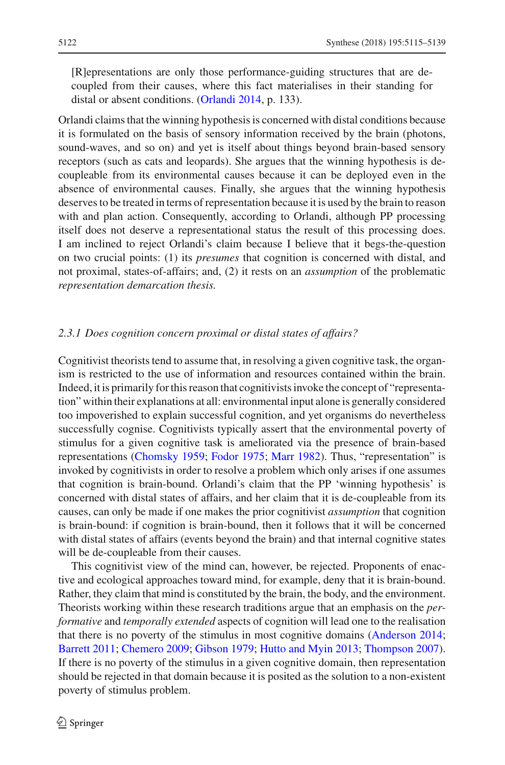[R]epresentations are only those performance-guiding structures that are decoupled from their causes, where this fact materialises in their standing for distal or absent conditions. [\(Orlandi 2014,](#page-23-6) p. 133).

Orlandi claims that the winning hypothesis is concerned with distal conditions because it is formulated on the basis of sensory information received by the brain (photons, sound-waves, and so on) and yet is itself about things beyond brain-based sensory receptors (such as cats and leopards). She argues that the winning hypothesis is decoupleable from its environmental causes because it can be deployed even in the absence of environmental causes. Finally, she argues that the winning hypothesis deserves to be treated in terms of representation because it is used by the brain to reason with and plan action. Consequently, according to Orlandi, although PP processing itself does not deserve a representational status the result of this processing does. I am inclined to reject Orlandi's claim because I believe that it begs-the-question on two crucial points: (1) its *presumes* that cognition is concerned with distal, and not proximal, states-of-affairs; and, (2) it rests on an *assumption* of the problematic *representation demarcation thesis.*

#### <span id="page-7-0"></span>*2.3.1 Does cognition concern proximal or distal states of affairs?*

Cognitivist theorists tend to assume that, in resolving a given cognitive task, the organism is restricted to the use of information and resources contained within the brain. Indeed, it is primarily for this reason that cognitivists invoke the concept of "representation" within their explanations at all: environmental input alone is generally considered too impoverished to explain successful cognition, and yet organisms do nevertheless successfully cognise. Cognitivists typically assert that the environmental poverty of stimulus for a given cognitive task is ameliorated via the presence of brain-based representations [\(Chomsky 1959](#page-23-12); [Fodor 1975](#page-23-13); [Marr 1982](#page-23-14)). Thus, "representation" is invoked by cognitivists in order to resolve a problem which only arises if one assumes that cognition is brain-bound. Orlandi's claim that the PP 'winning hypothesis' is concerned with distal states of affairs, and her claim that it is de-coupleable from its causes, can only be made if one makes the prior cognitivist *assumption* that cognition is brain-bound: if cognition is brain-bound, then it follows that it will be concerned with distal states of affairs (events beyond the brain) and that internal cognitive states will be de-coupleable from their causes.

This cognitivist view of the mind can, however, be rejected. Proponents of enactive and ecological approaches toward mind, for example, deny that it is brain-bound. Rather, they claim that mind is constituted by the brain, the body, and the environment. Theorists working within these research traditions argue that an emphasis on the *performative* and *temporally extended* aspects of cognition will lead one to the realisation that there is no poverty of the stimulus in most cognitive domains [\(Anderson 2014](#page-22-0); [Barrett 2011;](#page-22-2) [Chemero 2009;](#page-23-15) [Gibson 1979](#page-23-3); [Hutto and Myin 2013](#page-23-11); [Thompson 2007](#page-24-1)). If there is no poverty of the stimulus in a given cognitive domain, then representation should be rejected in that domain because it is posited as the solution to a non-existent poverty of stimulus problem.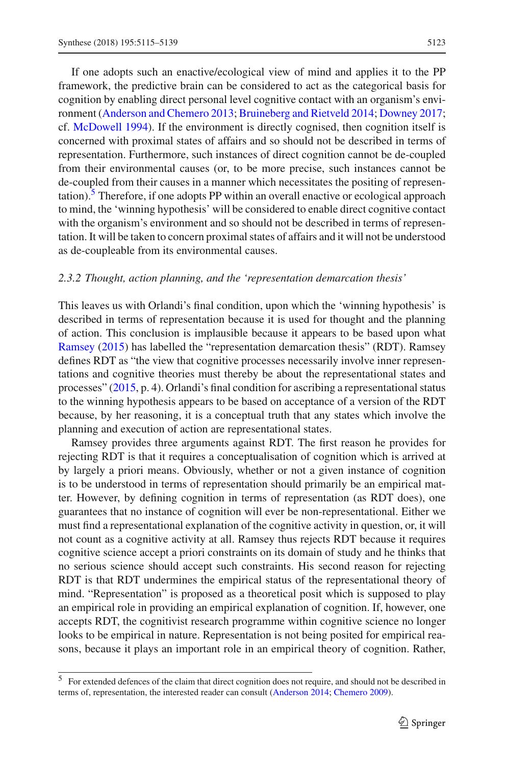If one adopts such an enactive/ecological view of mind and applies it to the PP framework, the predictive brain can be considered to act as the categorical basis for cognition by enabling direct personal level cognitive contact with an organism's environment [\(Anderson and Chemero 2013;](#page-22-3) [Bruineberg and Rietveld 2014;](#page-23-16) [Downey 2017](#page-23-17); cf. [McDowell 1994\)](#page-23-18). If the environment is directly cognised, then cognition itself is concerned with proximal states of affairs and so should not be described in terms of representation. Furthermore, such instances of direct cognition cannot be de-coupled from their environmental causes (or, to be more precise, such instances cannot be de-coupled from their causes in a manner which necessitates the positing of represen-tation).<sup>[5](#page-8-0)</sup> Therefore, if one adopts PP within an overall enactive or ecological approach to mind, the 'winning hypothesis' will be considered to enable direct cognitive contact with the organism's environment and so should not be described in terms of representation. It will be taken to concern proximal states of affairs and it will not be understood

## *2.3.2 Thought, action planning, and the 'representation demarcation thesis'*

as de-coupleable from its environmental causes.

This leaves us with Orlandi's final condition, upon which the 'winning hypothesis' is described in terms of representation because it is used for thought and the planning of action. This conclusion is implausible because it appears to be based upon what [Ramsey](#page-23-19) [\(2015\)](#page-23-19) has labelled the "representation demarcation thesis" (RDT). Ramsey defines RDT as "the view that cognitive processes necessarily involve inner representations and cognitive theories must thereby be about the representational states and processes" [\(2015](#page-23-19), p. 4). Orlandi's final condition for ascribing a representational status to the winning hypothesis appears to be based on acceptance of a version of the RDT because, by her reasoning, it is a conceptual truth that any states which involve the planning and execution of action are representational states.

Ramsey provides three arguments against RDT. The first reason he provides for rejecting RDT is that it requires a conceptualisation of cognition which is arrived at by largely a priori means. Obviously, whether or not a given instance of cognition is to be understood in terms of representation should primarily be an empirical matter. However, by defining cognition in terms of representation (as RDT does), one guarantees that no instance of cognition will ever be non-representational. Either we must find a representational explanation of the cognitive activity in question, or, it will not count as a cognitive activity at all. Ramsey thus rejects RDT because it requires cognitive science accept a priori constraints on its domain of study and he thinks that no serious science should accept such constraints. His second reason for rejecting RDT is that RDT undermines the empirical status of the representational theory of mind. "Representation" is proposed as a theoretical posit which is supposed to play an empirical role in providing an empirical explanation of cognition. If, however, one accepts RDT, the cognitivist research programme within cognitive science no longer looks to be empirical in nature. Representation is not being posited for empirical reasons, because it plays an important role in an empirical theory of cognition. Rather,

<span id="page-8-0"></span><sup>5</sup> For extended defences of the claim that direct cognition does not require, and should not be described in terms of, representation, the interested reader can consult [\(Anderson 2014](#page-22-0); [Chemero 2009\)](#page-23-15).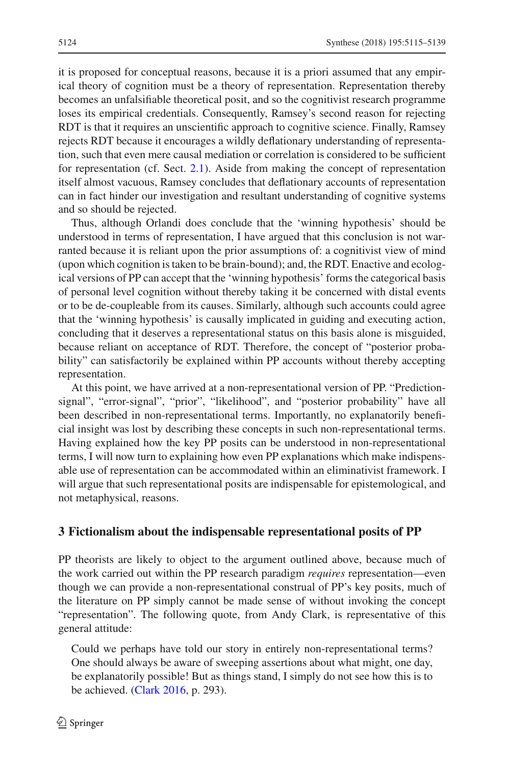it is proposed for conceptual reasons, because it is a priori assumed that any empirical theory of cognition must be a theory of representation. Representation thereby becomes an unfalsifiable theoretical posit, and so the cognitivist research programme loses its empirical credentials. Consequently, Ramsey's second reason for rejecting RDT is that it requires an unscientific approach to cognitive science. Finally, Ramsey rejects RDT because it encourages a wildly deflationary understanding of representation, such that even mere causal mediation or correlation is considered to be sufficient for representation (cf. Sect. [2.1\)](#page-2-1). Aside from making the concept of representation itself almost vacuous, Ramsey concludes that deflationary accounts of representation can in fact hinder our investigation and resultant understanding of cognitive systems and so should be rejected.

Thus, although Orlandi does conclude that the 'winning hypothesis' should be understood in terms of representation, I have argued that this conclusion is not warranted because it is reliant upon the prior assumptions of: a cognitivist view of mind (upon which cognition is taken to be brain-bound); and, the RDT. Enactive and ecological versions of PP can accept that the 'winning hypothesis' forms the categorical basis of personal level cognition without thereby taking it be concerned with distal events or to be de-coupleable from its causes. Similarly, although such accounts could agree that the 'winning hypothesis' is causally implicated in guiding and executing action, concluding that it deserves a representational status on this basis alone is misguided, because reliant on acceptance of RDT. Therefore, the concept of "posterior probability" can satisfactorily be explained within PP accounts without thereby accepting representation.

At this point, we have arrived at a non-representational version of PP. "Predictionsignal", "error-signal", "prior", "likelihood", and "posterior probability" have all been described in non-representational terms. Importantly, no explanatorily beneficial insight was lost by describing these concepts in such non-representational terms. Having explained how the key PP posits can be understood in non-representational terms, I will now turn to explaining how even PP explanations which make indispensable use of representation can be accommodated within an eliminativist framework. I will argue that such representational posits are indispensable for epistemological, and not metaphysical, reasons.

## <span id="page-9-0"></span>**3 Fictionalism about the indispensable representational posits of PP**

PP theorists are likely to object to the argument outlined above, because much of the work carried out within the PP research paradigm *requires* representation—even though we can provide a non-representational construal of PP's key posits, much of the literature on PP simply cannot be made sense of without invoking the concept "representation". The following quote, from Andy Clark, is representative of this general attitude:

Could we perhaps have told our story in entirely non-representational terms? One should always be aware of sweeping assertions about what might, one day, be explanatorily possible! But as things stand, I simply do not see how this is to be achieved. [\(Clark 2016,](#page-23-1) p. 293).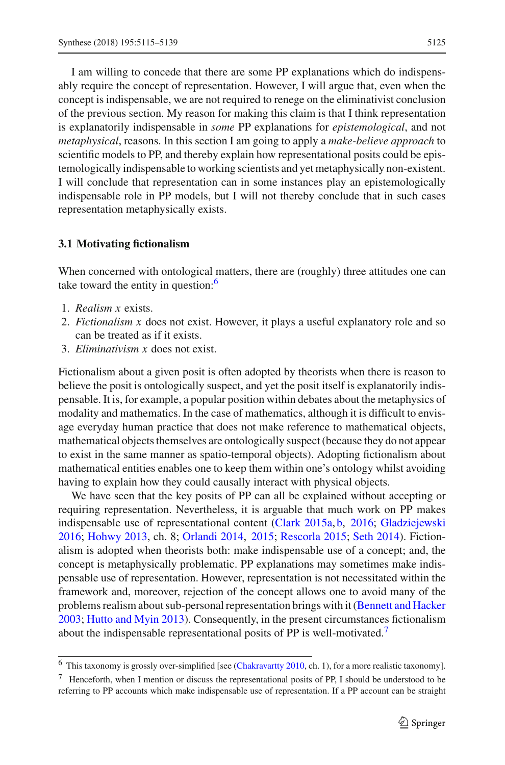I am willing to concede that there are some PP explanations which do indispensably require the concept of representation. However, I will argue that, even when the concept is indispensable, we are not required to renege on the eliminativist conclusion of the previous section. My reason for making this claim is that I think representation is explanatorily indispensable in *some* PP explanations for *epistemological*, and not *metaphysical*, reasons. In this section I am going to apply a *make-believe approach* to scientific models to PP, and thereby explain how representational posits could be epistemologically indispensable to working scientists and yet metaphysically non-existent. I will conclude that representation can in some instances play an epistemologically indispensable role in PP models, but I will not thereby conclude that in such cases representation metaphysically exists.

#### **3.1 Motivating fictionalism**

When concerned with ontological matters, there are (roughly) three attitudes one can take toward the entity in question: $6$ 

- 1. *Realism x* exists.
- 2. *Fictionalism x* does not exist. However, it plays a useful explanatory role and so can be treated as if it exists.
- 3. *Eliminativism x* does not exist.

Fictionalism about a given posit is often adopted by theorists when there is reason to believe the posit is ontologically suspect, and yet the posit itself is explanatorily indispensable. It is, for example, a popular position within debates about the metaphysics of modality and mathematics. In the case of mathematics, although it is difficult to envisage everyday human practice that does not make reference to mathematical objects, mathematical objects themselves are ontologically suspect (because they do not appear to exist in the same manner as spatio-temporal objects). Adopting fictionalism about mathematical entities enables one to keep them within one's ontology whilst avoiding having to explain how they could causally interact with physical objects.

We have seen that the key posits of PP can all be explained without accepting or requiring representation. Nevertheless, it is arguable that much work on PP makes indispensable use of representational content [\(Clark 2015a](#page-23-0), [b](#page-23-20), [2016](#page-23-1); [Gladziejewski](#page-23-21) [2016;](#page-23-21) [Hohwy 2013](#page-23-22), ch. 8; [Orlandi 2014](#page-23-6), [2015;](#page-23-5) [Rescorla 2015;](#page-23-23) [Seth 2014\)](#page-23-24). Fictionalism is adopted when theorists both: make indispensable use of a concept; and, the concept is metaphysically problematic. PP explanations may sometimes make indispensable use of representation. However, representation is not necessitated within the framework and, moreover, rejection of the concept allows one to avoid many of the problems realism about sub-personal representation brings with it [\(Bennett and Hacker](#page-22-4) [2003;](#page-22-4) [Hutto and Myin 2013\)](#page-23-11). Consequently, in the present circumstances fictionalism about the indispensable representational posits of PP is well-motivated.<sup>7</sup>

<sup>6</sup> This taxonomy is grossly over-simplified [see [\(Chakravartty 2010](#page-23-25), ch. 1), for a more realistic taxonomy].

<span id="page-10-1"></span><span id="page-10-0"></span> $<sup>7</sup>$  Henceforth, when I mention or discuss the representational posits of PP, I should be understood to be</sup> referring to PP accounts which make indispensable use of representation. If a PP account can be straight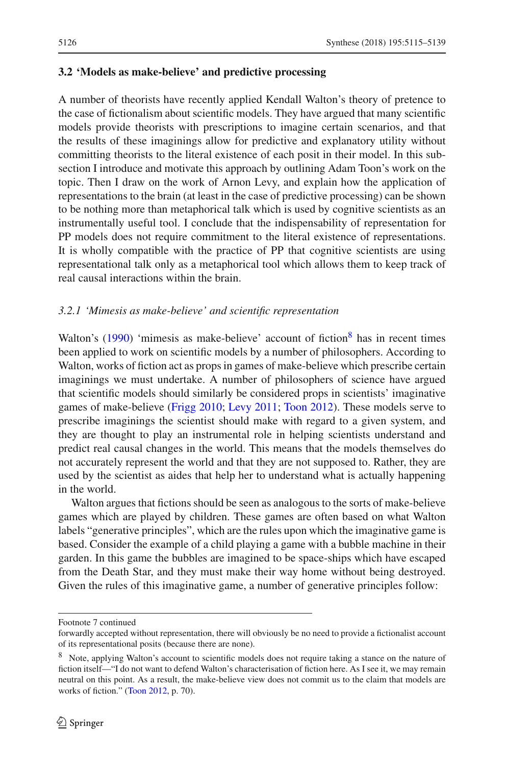## **3.2 'Models as make-believe' and predictive processing**

A number of theorists have recently applied Kendall Walton's theory of pretence to the case of fictionalism about scientific models. They have argued that many scientific models provide theorists with prescriptions to imagine certain scenarios, and that the results of these imaginings allow for predictive and explanatory utility without committing theorists to the literal existence of each posit in their model. In this subsection I introduce and motivate this approach by outlining Adam Toon's work on the topic. Then I draw on the work of Arnon Levy, and explain how the application of representations to the brain (at least in the case of predictive processing) can be shown to be nothing more than metaphorical talk which is used by cognitive scientists as an instrumentally useful tool. I conclude that the indispensability of representation for PP models does not require commitment to the literal existence of representations. It is wholly compatible with the practice of PP that cognitive scientists are using representational talk only as a metaphorical tool which allows them to keep track of real causal interactions within the brain.

#### *3.2.1 'Mimesis as make-believe' and scientific representation*

Walton's  $(1990)$  'mimesis as make-believe' account of fiction<sup>8</sup> has in recent times been applied to work on scientific models by a number of philosophers. According to Walton, works of fiction act as props in games of make-believe which prescribe certain imaginings we must undertake. A number of philosophers of science have argued that scientific models should similarly be considered props in scientists' imaginative games of make-believe [\(Frigg 2010](#page-23-26); [Levy 2011;](#page-23-27) [Toon 2012](#page-24-3)). These models serve to prescribe imaginings the scientist should make with regard to a given system, and they are thought to play an instrumental role in helping scientists understand and predict real causal changes in the world. This means that the models themselves do not accurately represent the world and that they are not supposed to. Rather, they are used by the scientist as aides that help her to understand what is actually happening in the world.

Walton argues that fictions should be seen as analogous to the sorts of make-believe games which are played by children. These games are often based on what Walton labels "generative principles", which are the rules upon which the imaginative game is based. Consider the example of a child playing a game with a bubble machine in their garden. In this game the bubbles are imagined to be space-ships which have escaped from the Death Star, and they must make their way home without being destroyed. Given the rules of this imaginative game, a number of generative principles follow:

Footnote 7 continued

forwardly accepted without representation, there will obviously be no need to provide a fictionalist account of its representational posits (because there are none).

<span id="page-11-0"></span><sup>8</sup> Note, applying Walton's account to scientific models does not require taking a stance on the nature of fiction itself—"I do not want to defend Walton's characterisation of fiction here. As I see it, we may remain neutral on this point. As a result, the make-believe view does not commit us to the claim that models are works of fiction." [\(Toon 2012](#page-24-3), p. 70).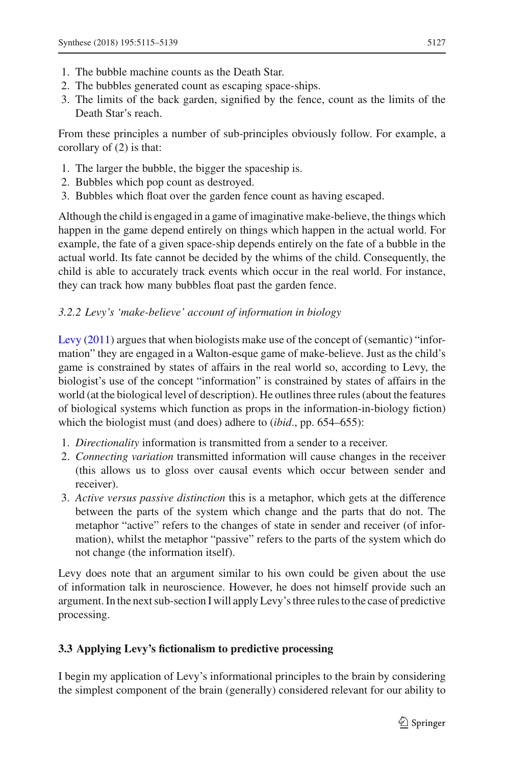- 1. The bubble machine counts as the Death Star.
- 2. The bubbles generated count as escaping space-ships.
- 3. The limits of the back garden, signified by the fence, count as the limits of the Death Star's reach.

From these principles a number of sub-principles obviously follow. For example, a corollary of (2) is that:

- 1. The larger the bubble, the bigger the spaceship is.
- 2. Bubbles which pop count as destroyed.
- 3. Bubbles which float over the garden fence count as having escaped.

Although the child is engaged in a game of imaginative make-believe, the things which happen in the game depend entirely on things which happen in the actual world. For example, the fate of a given space-ship depends entirely on the fate of a bubble in the actual world. Its fate cannot be decided by the whims of the child. Consequently, the child is able to accurately track events which occur in the real world. For instance, they can track how many bubbles float past the garden fence.

## *3.2.2 Levy's 'make-believe' account of information in biology*

Levy [\(2011](#page-23-27)) argues that when biologists make use of the concept of (semantic) "information" they are engaged in a Walton-esque game of make-believe. Just as the child's game is constrained by states of affairs in the real world so, according to Levy, the biologist's use of the concept "information" is constrained by states of affairs in the world (at the biological level of description). He outlines three rules (about the features of biological systems which function as props in the information-in-biology fiction) which the biologist must (and does) adhere to (*ibid*., pp. 654–655):

- 1. *Directionality* information is transmitted from a sender to a receiver.
- 2. *Connecting variation* transmitted information will cause changes in the receiver (this allows us to gloss over causal events which occur between sender and receiver).
- 3. *Active versus passive distinction* this is a metaphor, which gets at the difference between the parts of the system which change and the parts that do not. The metaphor "active" refers to the changes of state in sender and receiver (of information), whilst the metaphor "passive" refers to the parts of the system which do not change (the information itself).

Levy does note that an argument similar to his own could be given about the use of information talk in neuroscience. However, he does not himself provide such an argument. In the next sub-section I will apply Levy's three rules to the case of predictive processing.

## **3.3 Applying Levy's fictionalism to predictive processing**

I begin my application of Levy's informational principles to the brain by considering the simplest component of the brain (generally) considered relevant for our ability to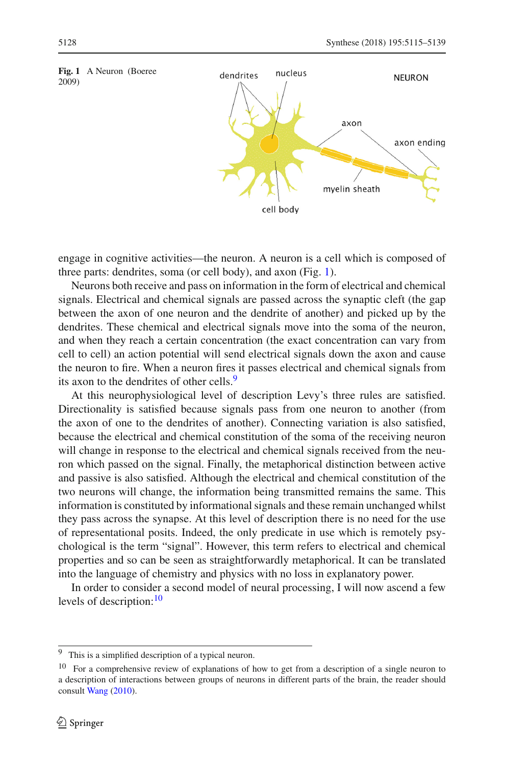<span id="page-13-0"></span>

engage in cognitive activities—the neuron. A neuron is a cell which is composed of three parts: dendrites, soma (or cell body), and axon (Fig. [1\)](#page-13-0).

Neurons both receive and pass on information in the form of electrical and chemical signals. Electrical and chemical signals are passed across the synaptic cleft (the gap between the axon of one neuron and the dendrite of another) and picked up by the dendrites. These chemical and electrical signals move into the soma of the neuron, and when they reach a certain concentration (the exact concentration can vary from cell to cell) an action potential will send electrical signals down the axon and cause the neuron to fire. When a neuron fires it passes electrical and chemical signals from its axon to the dendrites of other cells.<sup>9</sup>

At this neurophysiological level of description Levy's three rules are satisfied. Directionality is satisfied because signals pass from one neuron to another (from the axon of one to the dendrites of another). Connecting variation is also satisfied, because the electrical and chemical constitution of the soma of the receiving neuron will change in response to the electrical and chemical signals received from the neuron which passed on the signal. Finally, the metaphorical distinction between active and passive is also satisfied. Although the electrical and chemical constitution of the two neurons will change, the information being transmitted remains the same. This information is constituted by informational signals and these remain unchanged whilst they pass across the synapse. At this level of description there is no need for the use of representational posits. Indeed, the only predicate in use which is remotely psychological is the term "signal". However, this term refers to electrical and chemical properties and so can be seen as straightforwardly metaphorical. It can be translated into the language of chemistry and physics with no loss in explanatory power.

In order to consider a second model of neural processing, I will now ascend a few levels of description:<sup>[10](#page-13-2)</sup>

This is a simplified description of a typical neuron.

<span id="page-13-2"></span><span id="page-13-1"></span><sup>&</sup>lt;sup>10</sup> For a comprehensive review of explanations of how to get from a description of a single neuron to a description of interactions between groups of neurons in different parts of the brain, the reader should consult [Wang](#page-24-4) [\(2010\)](#page-24-4).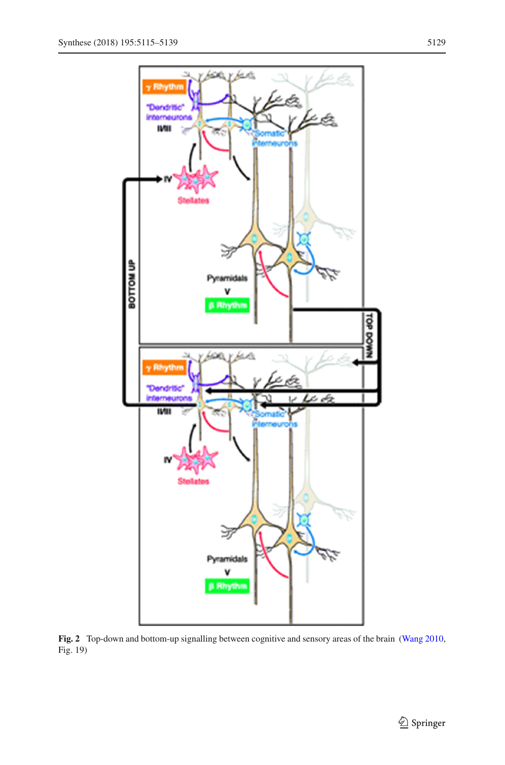

<span id="page-14-0"></span>**Fig. 2** Top-down and bottom-up signalling between cognitive and sensory areas of the brain [\(Wang 2010](#page-24-4), Fig. 19)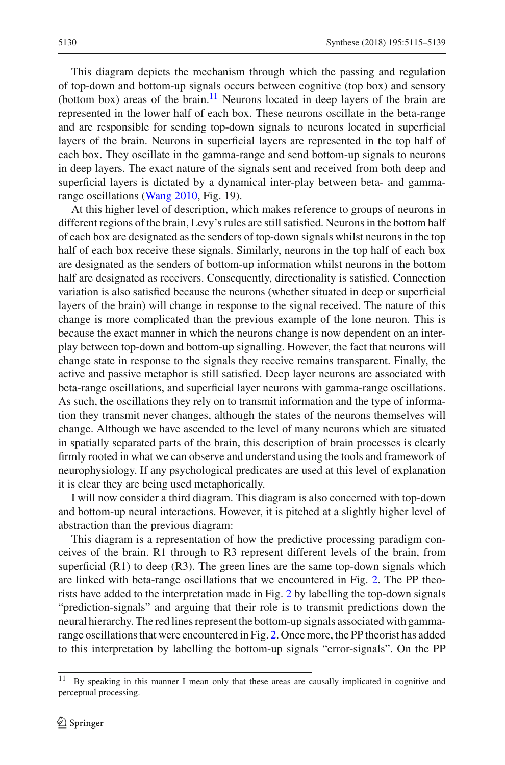This diagram depicts the mechanism through which the passing and regulation of top-down and bottom-up signals occurs between cognitive (top box) and sensory (bottom box) areas of the brain.<sup>[11](#page-15-0)</sup> Neurons located in deep layers of the brain are represented in the lower half of each box. These neurons oscillate in the beta-range and are responsible for sending top-down signals to neurons located in superficial layers of the brain. Neurons in superficial layers are represented in the top half of each box. They oscillate in the gamma-range and send bottom-up signals to neurons in deep layers. The exact nature of the signals sent and received from both deep and superficial layers is dictated by a dynamical inter-play between beta- and gammarange oscillations [\(Wang 2010,](#page-24-4) Fig. 19).

At this higher level of description, which makes reference to groups of neurons in different regions of the brain, Levy's rules are still satisfied. Neurons in the bottom half of each box are designated as the senders of top-down signals whilst neurons in the top half of each box receive these signals. Similarly, neurons in the top half of each box are designated as the senders of bottom-up information whilst neurons in the bottom half are designated as receivers. Consequently, directionality is satisfied. Connection variation is also satisfied because the neurons (whether situated in deep or superficial layers of the brain) will change in response to the signal received. The nature of this change is more complicated than the previous example of the lone neuron. This is because the exact manner in which the neurons change is now dependent on an interplay between top-down and bottom-up signalling. However, the fact that neurons will change state in response to the signals they receive remains transparent. Finally, the active and passive metaphor is still satisfied. Deep layer neurons are associated with beta-range oscillations, and superficial layer neurons with gamma-range oscillations. As such, the oscillations they rely on to transmit information and the type of information they transmit never changes, although the states of the neurons themselves will change. Although we have ascended to the level of many neurons which are situated in spatially separated parts of the brain, this description of brain processes is clearly firmly rooted in what we can observe and understand using the tools and framework of neurophysiology. If any psychological predicates are used at this level of explanation it is clear they are being used metaphorically.

I will now consider a third diagram. This diagram is also concerned with top-down and bottom-up neural interactions. However, it is pitched at a slightly higher level of abstraction than the previous diagram:

This diagram is a representation of how the predictive processing paradigm conceives of the brain. R1 through to R3 represent different levels of the brain, from superficial  $(R1)$  to deep  $(R3)$ . The green lines are the same top-down signals which are linked with beta-range oscillations that we encountered in Fig. [2.](#page-14-0) The PP theorists have added to the interpretation made in Fig. [2](#page-14-0) by labelling the top-down signals "prediction-signals" and arguing that their role is to transmit predictions down the neural hierarchy. The red lines represent the bottom-up signals associated with gammarange oscillations that were encountered in Fig. [2.](#page-14-0) Once more, the PP theorist has added to this interpretation by labelling the bottom-up signals "error-signals". On the PP

<span id="page-15-0"></span><sup>&</sup>lt;sup>11</sup> By speaking in this manner I mean only that these areas are causally implicated in cognitive and perceptual processing.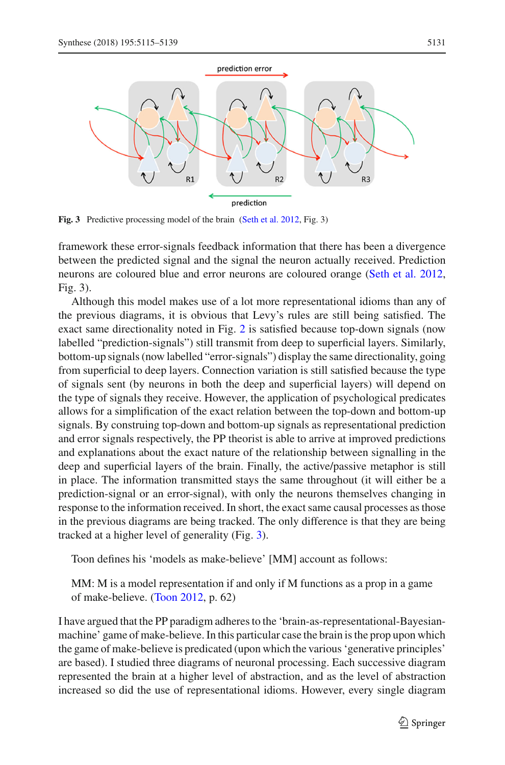

<span id="page-16-0"></span>**Fig. 3** Predictive processing model of the brain [\(Seth et al. 2012,](#page-23-28) Fig. 3)

framework these error-signals feedback information that there has been a divergence between the predicted signal and the signal the neuron actually received. Prediction neurons are coloured blue and error neurons are coloured orange [\(Seth et al. 2012,](#page-23-28) Fig. 3).

Although this model makes use of a lot more representational idioms than any of the previous diagrams, it is obvious that Levy's rules are still being satisfied. The exact same directionality noted in Fig. [2](#page-14-0) is satisfied because top-down signals (now labelled "prediction-signals") still transmit from deep to superficial layers. Similarly, bottom-up signals (now labelled "error-signals") display the same directionality, going from superficial to deep layers. Connection variation is still satisfied because the type of signals sent (by neurons in both the deep and superficial layers) will depend on the type of signals they receive. However, the application of psychological predicates allows for a simplification of the exact relation between the top-down and bottom-up signals. By construing top-down and bottom-up signals as representational prediction and error signals respectively, the PP theorist is able to arrive at improved predictions and explanations about the exact nature of the relationship between signalling in the deep and superficial layers of the brain. Finally, the active/passive metaphor is still in place. The information transmitted stays the same throughout (it will either be a prediction-signal or an error-signal), with only the neurons themselves changing in response to the information received. In short, the exact same causal processes as those in the previous diagrams are being tracked. The only difference is that they are being tracked at a higher level of generality (Fig. [3\)](#page-16-0).

Toon defines his 'models as make-believe' [MM] account as follows:

MM: M is a model representation if and only if M functions as a prop in a game of make-believe. [\(Toon 2012,](#page-24-3) p. 62)

I have argued that the PP paradigm adheres to the 'brain-as-representational-Bayesianmachine' game of make-believe. In this particular case the brain is the prop upon which the game of make-believe is predicated (upon which the various 'generative principles' are based). I studied three diagrams of neuronal processing. Each successive diagram represented the brain at a higher level of abstraction, and as the level of abstraction increased so did the use of representational idioms. However, every single diagram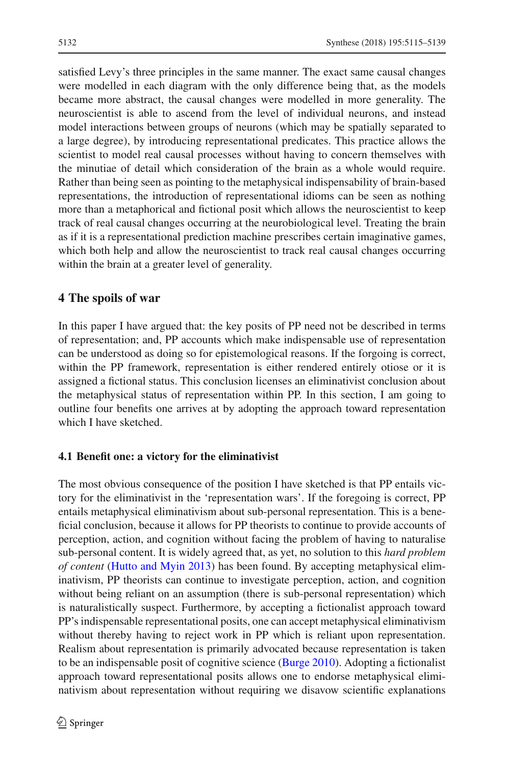satisfied Levy's three principles in the same manner. The exact same causal changes were modelled in each diagram with the only difference being that, as the models became more abstract, the causal changes were modelled in more generality. The neuroscientist is able to ascend from the level of individual neurons, and instead model interactions between groups of neurons (which may be spatially separated to a large degree), by introducing representational predicates. This practice allows the scientist to model real causal processes without having to concern themselves with the minutiae of detail which consideration of the brain as a whole would require. Rather than being seen as pointing to the metaphysical indispensability of brain-based representations, the introduction of representational idioms can be seen as nothing more than a metaphorical and fictional posit which allows the neuroscientist to keep track of real causal changes occurring at the neurobiological level. Treating the brain as if it is a representational prediction machine prescribes certain imaginative games, which both help and allow the neuroscientist to track real causal changes occurring within the brain at a greater level of generality.

## <span id="page-17-0"></span>**4 The spoils of war**

In this paper I have argued that: the key posits of PP need not be described in terms of representation; and, PP accounts which make indispensable use of representation can be understood as doing so for epistemological reasons. If the forgoing is correct, within the PP framework, representation is either rendered entirely otiose or it is assigned a fictional status. This conclusion licenses an eliminativist conclusion about the metaphysical status of representation within PP. In this section, I am going to outline four benefits one arrives at by adopting the approach toward representation which I have sketched.

## **4.1 Benefit one: a victory for the eliminativist**

The most obvious consequence of the position I have sketched is that PP entails victory for the eliminativist in the 'representation wars'. If the foregoing is correct, PP entails metaphysical eliminativism about sub-personal representation. This is a beneficial conclusion, because it allows for PP theorists to continue to provide accounts of perception, action, and cognition without facing the problem of having to naturalise sub-personal content. It is widely agreed that, as yet, no solution to this *hard problem of content* [\(Hutto and Myin 2013\)](#page-23-11) has been found. By accepting metaphysical eliminativism, PP theorists can continue to investigate perception, action, and cognition without being reliant on an assumption (there is sub-personal representation) which is naturalistically suspect. Furthermore, by accepting a fictionalist approach toward PP's indispensable representational posits, one can accept metaphysical eliminativism without thereby having to reject work in PP which is reliant upon representation. Realism about representation is primarily advocated because representation is taken to be an indispensable posit of cognitive science [\(Burge 2010\)](#page-23-29). Adopting a fictionalist approach toward representational posits allows one to endorse metaphysical eliminativism about representation without requiring we disavow scientific explanations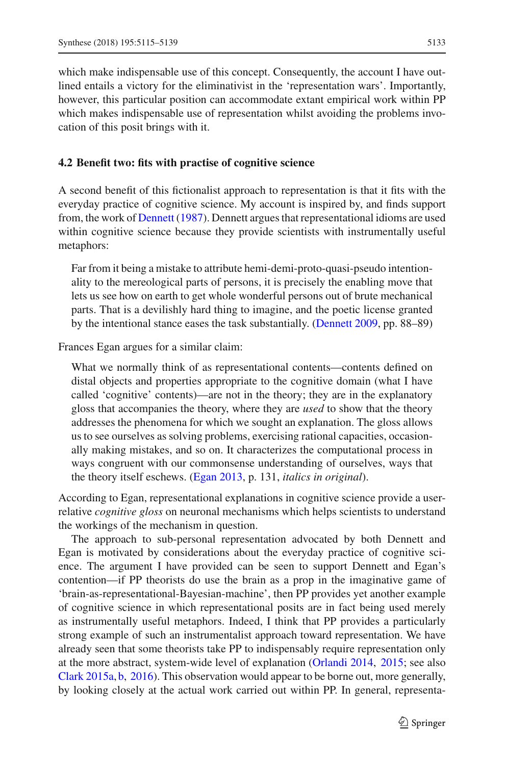which make indispensable use of this concept. Consequently, the account I have outlined entails a victory for the eliminativist in the 'representation wars'. Importantly, however, this particular position can accommodate extant empirical work within PP which makes indispensable use of representation whilst avoiding the problems invocation of this posit brings with it.

## **4.2 Benefit two: fits with practise of cognitive science**

A second benefit of this fictionalist approach to representation is that it fits with the everyday practice of cognitive science. My account is inspired by, and finds support from, the work of [Dennett](#page-23-30) [\(1987\)](#page-23-30). Dennett argues that representational idioms are used within cognitive science because they provide scientists with instrumentally useful metaphors:

Far from it being a mistake to attribute hemi-demi-proto-quasi-pseudo intentionality to the mereological parts of persons, it is precisely the enabling move that lets us see how on earth to get whole wonderful persons out of brute mechanical parts. That is a devilishly hard thing to imagine, and the poetic license granted by the intentional stance eases the task substantially. [\(Dennett 2009,](#page-23-31) pp. 88–89)

Frances Egan argues for a similar claim:

What we normally think of as representational contents—contents defined on distal objects and properties appropriate to the cognitive domain (what I have called 'cognitive' contents)—are not in the theory; they are in the explanatory gloss that accompanies the theory, where they are *used* to show that the theory addresses the phenomena for which we sought an explanation. The gloss allows us to see ourselves as solving problems, exercising rational capacities, occasionally making mistakes, and so on. It characterizes the computational process in ways congruent with our commonsense understanding of ourselves, ways that the theory itself eschews. [\(Egan 2013](#page-23-32), p. 131, *italics in original*).

According to Egan, representational explanations in cognitive science provide a userrelative *cognitive gloss* on neuronal mechanisms which helps scientists to understand the workings of the mechanism in question.

The approach to sub-personal representation advocated by both Dennett and Egan is motivated by considerations about the everyday practice of cognitive science. The argument I have provided can be seen to support Dennett and Egan's contention—if PP theorists do use the brain as a prop in the imaginative game of 'brain-as-representational-Bayesian-machine', then PP provides yet another example of cognitive science in which representational posits are in fact being used merely as instrumentally useful metaphors. Indeed, I think that PP provides a particularly strong example of such an instrumentalist approach toward representation. We have already seen that some theorists take PP to indispensably require representation only at the more abstract, system-wide level of explanation [\(Orlandi 2014](#page-23-6), [2015](#page-23-5); see also [Clark 2015a](#page-23-0), [b,](#page-23-20) [2016](#page-23-1)). This observation would appear to be borne out, more generally, by looking closely at the actual work carried out within PP. In general, representa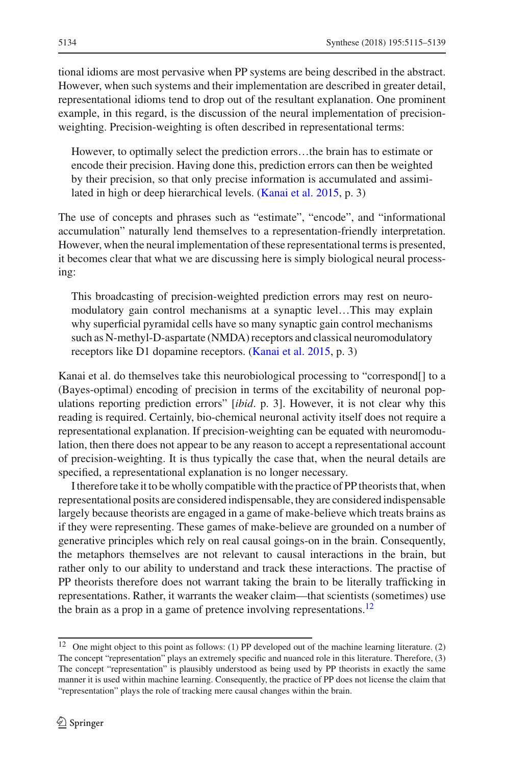tional idioms are most pervasive when PP systems are being described in the abstract. However, when such systems and their implementation are described in greater detail, representational idioms tend to drop out of the resultant explanation. One prominent example, in this regard, is the discussion of the neural implementation of precisionweighting. Precision-weighting is often described in representational terms:

However, to optimally select the prediction errors…the brain has to estimate or encode their precision. Having done this, prediction errors can then be weighted by their precision, so that only precise information is accumulated and assimilated in high or deep hierarchical levels. [\(Kanai et al. 2015](#page-23-33), p. 3)

The use of concepts and phrases such as "estimate", "encode", and "informational accumulation" naturally lend themselves to a representation-friendly interpretation. However, when the neural implementation of these representational terms is presented, it becomes clear that what we are discussing here is simply biological neural processing:

This broadcasting of precision-weighted prediction errors may rest on neuromodulatory gain control mechanisms at a synaptic level…This may explain why superficial pyramidal cells have so many synaptic gain control mechanisms such as N-methyl-D-aspartate (NMDA) receptors and classical neuromodulatory receptors like D1 dopamine receptors. [\(Kanai et al. 2015,](#page-23-33) p. 3)

Kanai et al. do themselves take this neurobiological processing to "correspond[] to a (Bayes-optimal) encoding of precision in terms of the excitability of neuronal populations reporting prediction errors" [*ibid*. p. 3]. However, it is not clear why this reading is required. Certainly, bio-chemical neuronal activity itself does not require a representational explanation. If precision-weighting can be equated with neuromodulation, then there does not appear to be any reason to accept a representational account of precision-weighting. It is thus typically the case that, when the neural details are specified, a representational explanation is no longer necessary.

I therefore take it to be wholly compatible with the practice of PP theorists that, when representational posits are considered indispensable, they are considered indispensable largely because theorists are engaged in a game of make-believe which treats brains as if they were representing. These games of make-believe are grounded on a number of generative principles which rely on real causal goings-on in the brain. Consequently, the metaphors themselves are not relevant to causal interactions in the brain, but rather only to our ability to understand and track these interactions. The practise of PP theorists therefore does not warrant taking the brain to be literally trafficking in representations. Rather, it warrants the weaker claim—that scientists (sometimes) use the brain as a prop in a game of pretence involving representations.<sup>12</sup>

<span id="page-19-0"></span><sup>12</sup> One might object to this point as follows: (1) PP developed out of the machine learning literature. (2) The concept "representation" plays an extremely specific and nuanced role in this literature. Therefore, (3) The concept "representation" is plausibly understood as being used by PP theorists in exactly the same manner it is used within machine learning. Consequently, the practice of PP does not license the claim that "representation" plays the role of tracking mere causal changes within the brain.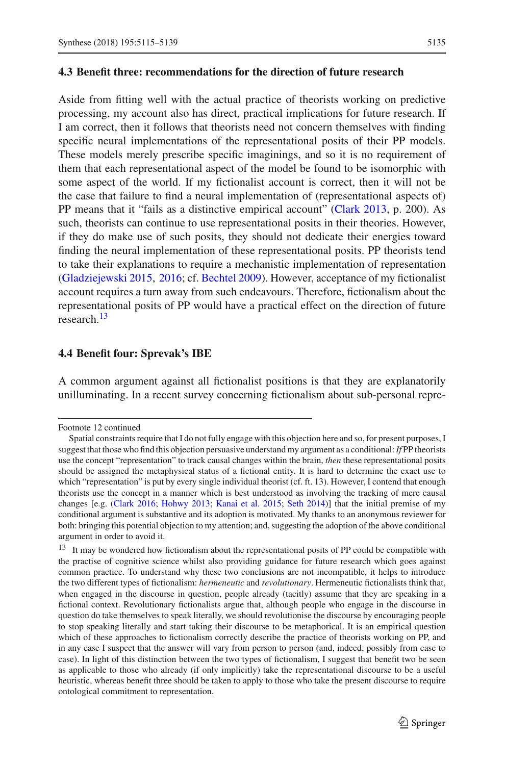#### **4.3 Benefit three: recommendations for the direction of future research**

Aside from fitting well with the actual practice of theorists working on predictive processing, my account also has direct, practical implications for future research. If I am correct, then it follows that theorists need not concern themselves with finding specific neural implementations of the representational posits of their PP models. These models merely prescribe specific imaginings, and so it is no requirement of them that each representational aspect of the model be found to be isomorphic with some aspect of the world. If my fictionalist account is correct, then it will not be the case that failure to find a neural implementation of (representational aspects of) PP means that it "fails as a distinctive empirical account" [\(Clark 2013,](#page-23-34) p. 200). As such, theorists can continue to use representational posits in their theories. However, if they do make use of such posits, they should not dedicate their energies toward finding the neural implementation of these representational posits. PP theorists tend to take their explanations to require a mechanistic implementation of representation [\(Gladziejewski 2015,](#page-23-35) [2016](#page-23-21); cf. [Bechtel 2009\)](#page-22-5). However, acceptance of my fictionalist account requires a turn away from such endeavours. Therefore, fictionalism about the representational posits of PP would have a practical effect on the direction of future research[.13](#page-20-0)

#### **4.4 Benefit four: Sprevak's IBE**

A common argument against all fictionalist positions is that they are explanatorily unilluminating. In a recent survey concerning fictionalism about sub-personal repre-

Footnote 12 continued

Spatial constraints require that I do not fully engage with this objection here and so, for present purposes, I suggest that those who find this objection persuasive understand my argument as a conditional:*If* PP theorists use the concept "representation" to track causal changes within the brain, *then* these representational posits should be assigned the metaphysical status of a fictional entity. It is hard to determine the exact use to which "representation" is put by every single individual theorist (cf. ft. 13). However, I contend that enough theorists use the concept in a manner which is best understood as involving the tracking of mere causal changes [e.g. [\(Clark 2016;](#page-23-1) [Hohwy 2013;](#page-23-22) [Kanai et al. 2015](#page-23-33); [Seth 2014](#page-23-24))] that the initial premise of my conditional argument is substantive and its adoption is motivated. My thanks to an anonymous reviewer for both: bringing this potential objection to my attention; and, suggesting the adoption of the above conditional argument in order to avoid it.

<span id="page-20-0"></span><sup>&</sup>lt;sup>13</sup> It may be wondered how fictionalism about the representational posits of PP could be compatible with the practise of cognitive science whilst also providing guidance for future research which goes against common practice. To understand why these two conclusions are not incompatible, it helps to introduce the two different types of fictionalism: *hermeneutic* and *revolutionary*. Hermeneutic fictionalists think that, when engaged in the discourse in question, people already (tacitly) assume that they are speaking in a fictional context. Revolutionary fictionalists argue that, although people who engage in the discourse in question do take themselves to speak literally, we should revolutionise the discourse by encouraging people to stop speaking literally and start taking their discourse to be metaphorical. It is an empirical question which of these approaches to fictionalism correctly describe the practice of theorists working on PP, and in any case I suspect that the answer will vary from person to person (and, indeed, possibly from case to case). In light of this distinction between the two types of fictionalism, I suggest that benefit two be seen as applicable to those who already (if only implicitly) take the representational discourse to be a useful heuristic, whereas benefit three should be taken to apply to those who take the present discourse to require ontological commitment to representation.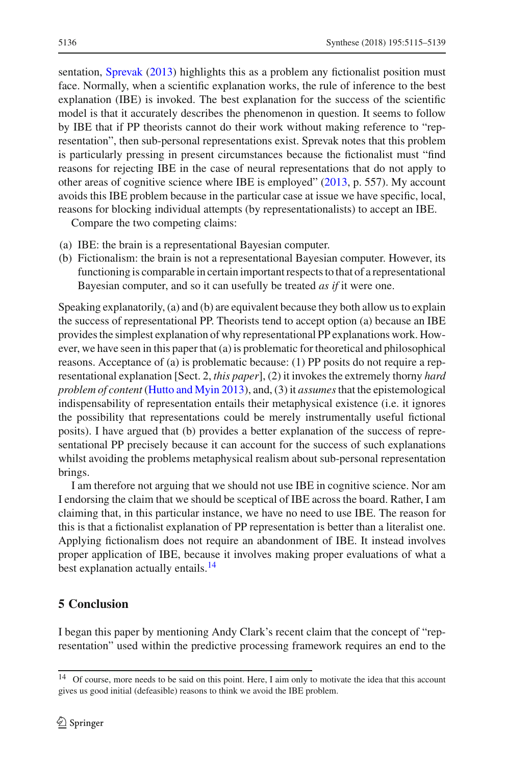sentation, [Sprevak](#page-23-36) [\(2013](#page-23-36)) highlights this as a problem any fictionalist position must face. Normally, when a scientific explanation works, the rule of inference to the best explanation (IBE) is invoked. The best explanation for the success of the scientific model is that it accurately describes the phenomenon in question. It seems to follow by IBE that if PP theorists cannot do their work without making reference to "representation", then sub-personal representations exist. Sprevak notes that this problem is particularly pressing in present circumstances because the fictionalist must "find reasons for rejecting IBE in the case of neural representations that do not apply to other areas of cognitive science where IBE is employed" [\(2013](#page-23-36), p. 557). My account avoids this IBE problem because in the particular case at issue we have specific, local, reasons for blocking individual attempts (by representationalists) to accept an IBE.

Compare the two competing claims:

- (a) IBE: the brain is a representational Bayesian computer.
- (b) Fictionalism: the brain is not a representational Bayesian computer. However, its functioning is comparable in certain important respects to that of a representational Bayesian computer, and so it can usefully be treated *as if* it were one.

Speaking explanatorily, (a) and (b) are equivalent because they both allow us to explain the success of representational PP. Theorists tend to accept option (a) because an IBE provides the simplest explanation of why representational PP explanations work. However, we have seen in this paper that (a) is problematic for theoretical and philosophical reasons. Acceptance of (a) is problematic because: (1) PP posits do not require a representational explanation [Sect. 2, *this paper*], (2) it invokes the extremely thorny *hard problem of content* [\(Hutto and Myin 2013\)](#page-23-11), and, (3) it *assumes*that the epistemological indispensability of representation entails their metaphysical existence (i.e. it ignores the possibility that representations could be merely instrumentally useful fictional posits). I have argued that (b) provides a better explanation of the success of representational PP precisely because it can account for the success of such explanations whilst avoiding the problems metaphysical realism about sub-personal representation brings.

I am therefore not arguing that we should not use IBE in cognitive science. Nor am I endorsing the claim that we should be sceptical of IBE across the board. Rather, I am claiming that, in this particular instance, we have no need to use IBE. The reason for this is that a fictionalist explanation of PP representation is better than a literalist one. Applying fictionalism does not require an abandonment of IBE. It instead involves proper application of IBE, because it involves making proper evaluations of what a best explanation actually entails.<sup>14</sup>

## **5 Conclusion**

I began this paper by mentioning Andy Clark's recent claim that the concept of "representation" used within the predictive processing framework requires an end to the

<span id="page-21-0"></span><sup>&</sup>lt;sup>14</sup> Of course, more needs to be said on this point. Here, I aim only to motivate the idea that this account gives us good initial (defeasible) reasons to think we avoid the IBE problem.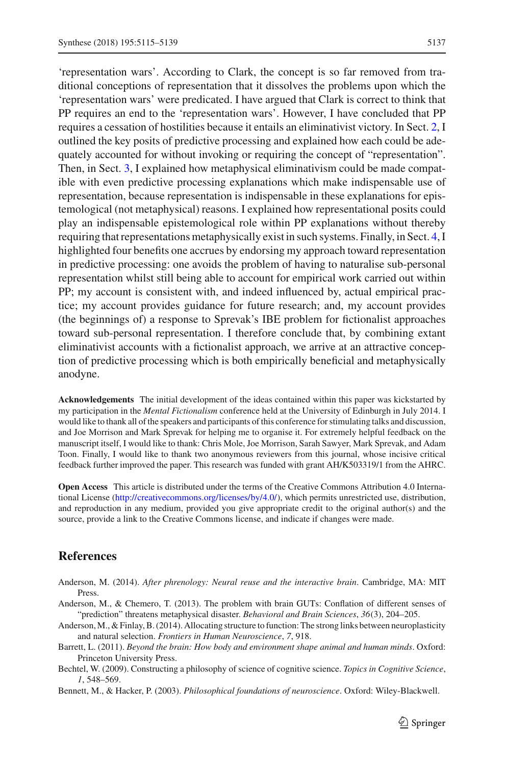'representation wars'. According to Clark, the concept is so far removed from traditional conceptions of representation that it dissolves the problems upon which the 'representation wars' were predicated. I have argued that Clark is correct to think that PP requires an end to the 'representation wars'. However, I have concluded that PP requires a cessation of hostilities because it entails an eliminativist victory. In Sect. [2,](#page-1-1) I outlined the key posits of predictive processing and explained how each could be adequately accounted for without invoking or requiring the concept of "representation". Then, in Sect. [3,](#page-9-0) I explained how metaphysical eliminativism could be made compatible with even predictive processing explanations which make indispensable use of representation, because representation is indispensable in these explanations for epistemological (not metaphysical) reasons. I explained how representational posits could play an indispensable epistemological role within PP explanations without thereby requiring that representations metaphysically exist in such systems. Finally, in Sect. [4,](#page-17-0) I highlighted four benefits one accrues by endorsing my approach toward representation in predictive processing: one avoids the problem of having to naturalise sub-personal representation whilst still being able to account for empirical work carried out within PP; my account is consistent with, and indeed influenced by, actual empirical practice; my account provides guidance for future research; and, my account provides (the beginnings of) a response to Sprevak's IBE problem for fictionalist approaches toward sub-personal representation. I therefore conclude that, by combining extant eliminativist accounts with a fictionalist approach, we arrive at an attractive conception of predictive processing which is both empirically beneficial and metaphysically anodyne.

**Acknowledgements** The initial development of the ideas contained within this paper was kickstarted by my participation in the *Mental Fictionalism* conference held at the University of Edinburgh in July 2014. I would like to thank all of the speakers and participants of this conference for stimulating talks and discussion, and Joe Morrison and Mark Sprevak for helping me to organise it. For extremely helpful feedback on the manuscript itself, I would like to thank: Chris Mole, Joe Morrison, Sarah Sawyer, Mark Sprevak, and Adam Toon. Finally, I would like to thank two anonymous reviewers from this journal, whose incisive critical feedback further improved the paper. This research was funded with grant AH/K503319/1 from the AHRC.

**Open Access** This article is distributed under the terms of the Creative Commons Attribution 4.0 International License [\(http://creativecommons.org/licenses/by/4.0/\)](http://creativecommons.org/licenses/by/4.0/), which permits unrestricted use, distribution, and reproduction in any medium, provided you give appropriate credit to the original author(s) and the source, provide a link to the Creative Commons license, and indicate if changes were made.

## **References**

- <span id="page-22-0"></span>Anderson, M. (2014). *After phrenology: Neural reuse and the interactive brain*. Cambridge, MA: MIT Press.
- <span id="page-22-3"></span>Anderson, M., & Chemero, T. (2013). The problem with brain GUTs: Conflation of different senses of "prediction" threatens metaphysical disaster. *Behavioral and Brain Sciences*, *36*(3), 204–205.

<span id="page-22-1"></span>Anderson, M., & Finlay, B. (2014). Allocating structure to function: The strong links between neuroplasticity and natural selection. *Frontiers in Human Neuroscience*, *7*, 918.

- <span id="page-22-2"></span>Barrett, L. (2011). *Beyond the brain: How body and environment shape animal and human minds*. Oxford: Princeton University Press.
- <span id="page-22-5"></span>Bechtel, W. (2009). Constructing a philosophy of science of cognitive science. *Topics in Cognitive Science*, *1*, 548–569.
- <span id="page-22-4"></span>Bennett, M., & Hacker, P. (2003). *Philosophical foundations of neuroscience*. Oxford: Wiley-Blackwell.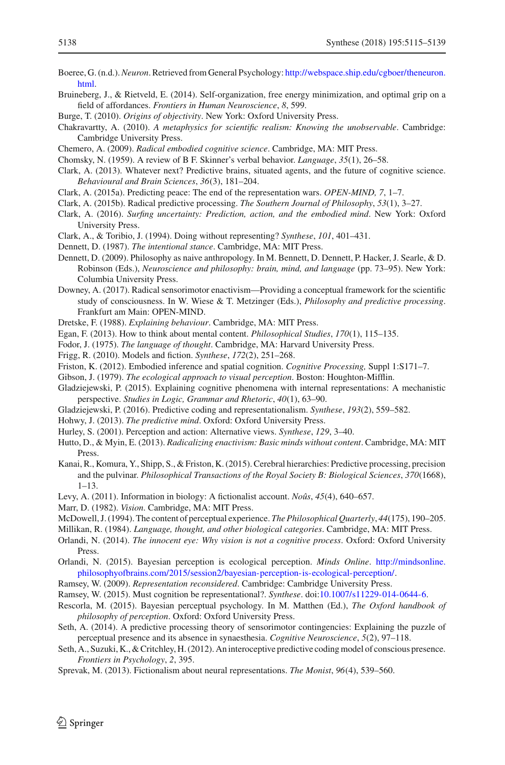Boeree, G. (n.d.).*Neuron*. Retrieved from General Psychology: [http://webspace.ship.edu/cgboer/theneuron.](http://webspace.ship.edu/cgboer/theneuron.html) [html.](http://webspace.ship.edu/cgboer/theneuron.html)

<span id="page-23-16"></span>Bruineberg, J., & Rietveld, E. (2014). Self-organization, free energy minimization, and optimal grip on a field of affordances. *Frontiers in Human Neuroscience*, *8*, 599.

<span id="page-23-29"></span>Burge, T. (2010). *Origins of objectivity*. New York: Oxford University Press.

- <span id="page-23-25"></span>Chakravartty, A. (2010). *A metaphysics for scientific realism: Knowing the unobservable*. Cambridge: Cambridge University Press.
- <span id="page-23-15"></span>Chemero, A. (2009). *Radical embodied cognitive science*. Cambridge, MA: MIT Press.

<span id="page-23-12"></span>Chomsky, N. (1959). A review of B F. Skinner's verbal behavior. *Language*, *35*(1), 26–58.

<span id="page-23-34"></span>Clark, A. (2013). Whatever next? Predictive brains, situated agents, and the future of cognitive science. *Behavioural and Brain Sciences*, *36*(3), 181–204.

- <span id="page-23-0"></span>Clark, A. (2015a). Predicting peace: The end of the representation wars. *OPEN-MIND, 7*, 1–7.
- <span id="page-23-20"></span>Clark, A. (2015b). Radical predictive processing. *The Southern Journal of Philosophy*, *53*(1), 3–27.
- <span id="page-23-1"></span>Clark, A. (2016). *Surfing uncertainty: Prediction, action, and the embodied mind*. New York: Oxford University Press.
- <span id="page-23-8"></span>Clark, A., & Toribio, J. (1994). Doing without representing? *Synthese*, *101*, 401–431.
- <span id="page-23-30"></span>Dennett, D. (1987). *The intentional stance*. Cambridge, MA: MIT Press.
- <span id="page-23-31"></span>Dennett, D. (2009). Philosophy as naive anthropology. In M. Bennett, D. Dennett, P. Hacker, J. Searle, & D. Robinson (Eds.), *Neuroscience and philosophy: brain, mind, and language* (pp. 73–95). New York: Columbia University Press.
- <span id="page-23-17"></span>Downey, A. (2017). Radical sensorimotor enactivism—Providing a conceptual framework for the scientific study of consciousness. In W. Wiese & T. Metzinger (Eds.), *Philosophy and predictive processing*. Frankfurt am Main: OPEN-MIND.

<span id="page-23-9"></span>Dretske, F. (1988). *Explaining behaviour*. Cambridge, MA: MIT Press.

- <span id="page-23-32"></span>Egan, F. (2013). How to think about mental content. *Philosophical Studies*, *170*(1), 115–135.
- <span id="page-23-13"></span>Fodor, J. (1975). *The language of thought*. Cambridge, MA: Harvard University Press.
- <span id="page-23-26"></span>Frigg, R. (2010). Models and fiction. *Synthese*, *172*(2), 251–268.
- <span id="page-23-2"></span>Friston, K. (2012). Embodied inference and spatial cognition. *Cognitive Processing,* Suppl 1:S171–7.
- <span id="page-23-3"></span>Gibson, J. (1979). *The ecological approach to visual perception*. Boston: Houghton-Mifflin.
- <span id="page-23-35"></span>Gladziejewski, P. (2015). Explaining cognitive phenomena with internal representations: A mechanistic perspective. *Studies in Logic, Grammar and Rhetoric*, *40*(1), 63–90.
- <span id="page-23-21"></span>Gladziejewski, P. (2016). Predictive coding and representationalism. *Synthese*, *193*(2), 559–582.
- <span id="page-23-22"></span>Hohwy, J. (2013). *The predictive mind*. Oxford: Oxford University Press.
- <span id="page-23-4"></span>Hurley, S. (2001). Perception and action: Alternative views. *Synthese*, *129*, 3–40.
- <span id="page-23-11"></span>Hutto, D., & Myin, E. (2013). *Radicalizing enactivism: Basic minds without content*. Cambridge, MA: MIT Press.
- <span id="page-23-33"></span>Kanai, R., Komura, Y., Shipp, S., & Friston, K. (2015). Cerebral hierarchies: Predictive processing, precision and the pulvinar. *Philosophical Transactions of the Royal Society B: Biological Sciences*, *370*(1668),  $1 - 13$ .
- <span id="page-23-27"></span>Levy, A. (2011). Information in biology: A fictionalist account. *Noûs*, *45*(4), 640–657.
- <span id="page-23-14"></span>Marr, D. (1982). *Vision*. Cambridge, MA: MIT Press.
- <span id="page-23-18"></span>McDowell, J. (1994). The content of perceptual experience. *The Philosophical Quarterly*, *44*(175), 190–205.
- <span id="page-23-10"></span>Millikan, R. (1984). *Language, thought, and other biological categories*. Cambridge, MA: MIT Press.
- <span id="page-23-6"></span>Orlandi, N. (2014). *The innocent eye: Why vision is not a cognitive process*. Oxford: Oxford University Press.
- <span id="page-23-5"></span>Orlandi, N. (2015). Bayesian perception is ecological perception. *Minds Online*. [http://mindsonline.](http://mindsonline.philosophyofbrains.com/2015/session2/bayesian-perception-is-ecological-perception/) [philosophyofbrains.com/2015/session2/bayesian-perception-is-ecological-perception/.](http://mindsonline.philosophyofbrains.com/2015/session2/bayesian-perception-is-ecological-perception/)
- <span id="page-23-7"></span>Ramsey, W. (2009). *Representation reconsidered*. Cambridge: Cambridge University Press.
- <span id="page-23-19"></span>Ramsey, W. (2015). Must cognition be representational?. *Synthese*. doi[:10.1007/s11229-014-0644-6.](http://dx.doi.org/10.1007/s11229-014-0644-6)
- <span id="page-23-23"></span>Rescorla, M. (2015). Bayesian perceptual psychology. In M. Matthen (Ed.), *The Oxford handbook of philosophy of perception*. Oxford: Oxford University Press.
- <span id="page-23-24"></span>Seth, A. (2014). A predictive processing theory of sensorimotor contingencies: Explaining the puzzle of perceptual presence and its absence in synaesthesia. *Cognitive Neuroscience*, *5*(2), 97–118.
- <span id="page-23-28"></span>Seth, A., Suzuki, K., & Critchley, H. (2012). An interoceptive predictive coding model of conscious presence. *Frontiers in Psychology*, *2*, 395.
- <span id="page-23-36"></span>Sprevak, M. (2013). Fictionalism about neural representations. *The Monist*, *96*(4), 539–560.